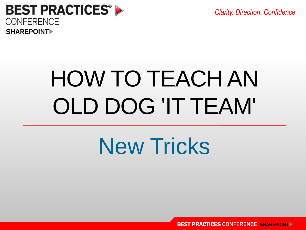*Clarity. Direction. Confidence.*



# HOW TO TEACH AN OLD DOG 'IT TEAM'

## New Tricks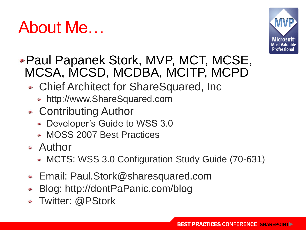#### About Me…



#### • Paul Papanek Stork, MVP, MCT, MCSE, MCSA, MCSD, MCDBA, MCITP, MCPD

- Chief Architect for ShareSquared, Inc.
	- http://www.ShareSquared.com
- Contributing Author
	- Developer's Guide to WSS 3.0
	- MOSS 2007 Best Practices
- Author
	- MCTS: WSS 3.0 Configuration Study Guide (70-631)
- Email: Paul.Stork@sharesquared.com
- Blog: http://dontPaPanic.com/blog
- Twitter: @PStork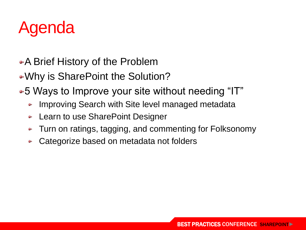

- A Brief History of the Problem
- Why is SharePoint the Solution?
- 5 Ways to Improve your site without needing "IT"
	- Improving Search with Site level managed metadata
	- Learn to use SharePoint Designer
	- Turn on ratings, tagging, and commenting for Folksonomy
	- Categorize based on metadata not folders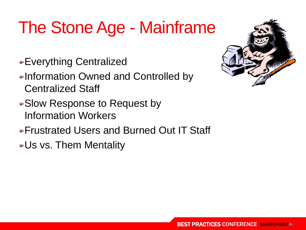### The Stone Age - Mainframe

- Everything Centralized
- •Information Owned and Controlled by Centralized Staff
- Slow Response to Request by Information Workers
- Frustrated Users and Burned Out IT Staff
- Us vs. Them Mentality

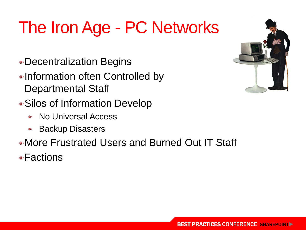### The Iron Age - PC Networks

- Decentralization Begins
- Information often Controlled by Departmental Staff
- Silos of Information Develop
	- No Universal Access
	- Backup Disasters  $\bullet$
- More Frustrated Users and Burned Out IT Staff

• Factions

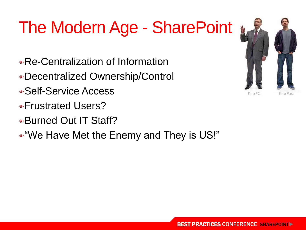### The Modern Age - SharePoint

- Re-Centralization of Information
- Decentralized Ownership/Control
- Self-Service Access
- Frustrated Users?
- Burned Out IT Staff?
- "We Have Met the Enemy and They is US!"

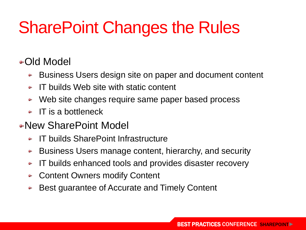#### SharePoint Changes the Rules

#### •Old Model

- Business Users design site on paper and document content
- IT builds Web site with static content
- Web site changes require same paper based process
- $\bullet$  IT is a bottleneck
- New SharePoint Model
	- IT builds SharePoint Infrastructure
	- Business Users manage content, hierarchy, and security
	- IT builds enhanced tools and provides disaster recovery
	- Content Owners modify Content an p
	- Best guarantee of Accurate and Timely Content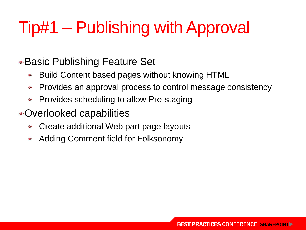### Tip#1 – Publishing with Approval

● Basic Publishing Feature Set

- Build Content based pages without knowing HTML
- Provides an approval process to control message consistency
- Provides scheduling to allow Pre-staging
- Overlooked capabilities
	- Create additional Web part page layouts
	- Adding Comment field for Folksonomy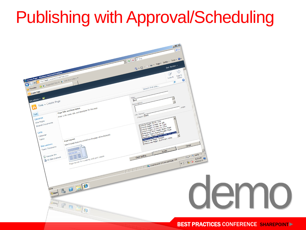#### Publishing with Approval/Scheduling

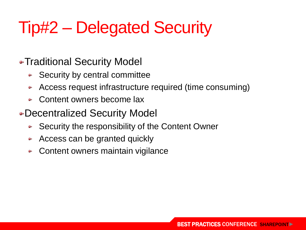#### Tip#2 – Delegated Security

• Traditional Security Model

- Security by central committee
- Access request infrastructure required (time consuming)
- Content owners become lax
- Decentralized Security Model
	- Security the responsibility of the Content Owner
	- Access can be granted quickly
	- Content owners maintain vigilance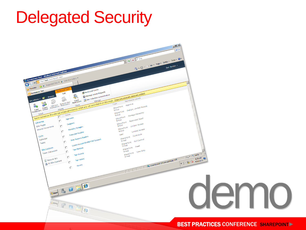#### Delegated Security

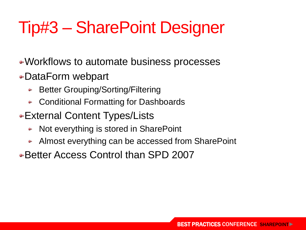#### Tip#3 – SharePoint Designer

• Workflows to automate business processes

- DataForm webpart
	- Better Grouping/Sorting/Filtering
	- Conditional Formatting for Dashboards
- External Content Types/Lists
	- Not everything is stored in SharePoint
	- Almost everything can be accessed from SharePoint
- Better Access Control than SPD 2007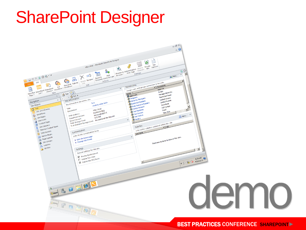#### SharePoint Designer

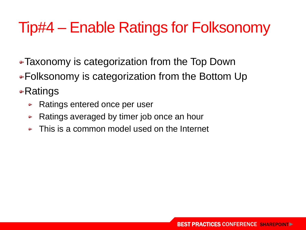#### Tip#4 – Enable Ratings for Folksonomy

- Taxonomy is categorization from the Top Down
- Folksonomy is categorization from the Bottom Up

•Ratings

- Ratings entered once per user
- Ratings averaged by timer job once an hour
- This is a common model used on the Internet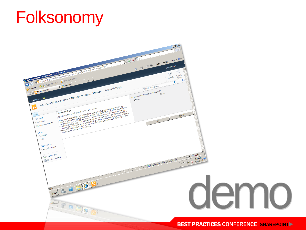#### Folksonomy

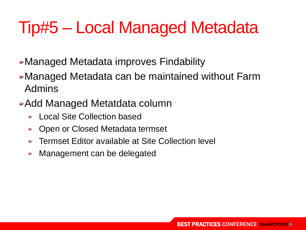#### Tip#5 – Local Managed Metadata

- Managed Metadata improves Findability
- Managed Metadata can be maintained without Farm Admins
- Add Managed Metatdata column
	- Local Site Collection based
	- Open or Closed Metadata termset
	- Termset Editor available at Site Collection level
	- Management can be delegated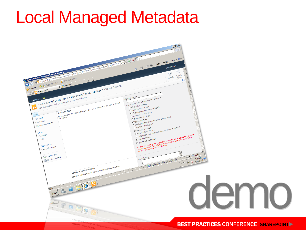#### Local Managed Metadata

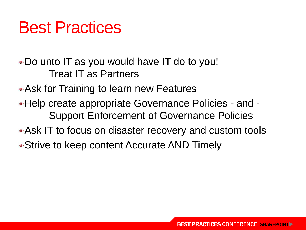#### Best Practices

• Do unto IT as you would have IT do to you! Treat IT as Partners

• Ask for Training to learn new Features

- Help create appropriate Governance Policies and Support Enforcement of Governance Policies
- Ask IT to focus on disaster recovery and custom tools

• Strive to keep content Accurate AND Timely